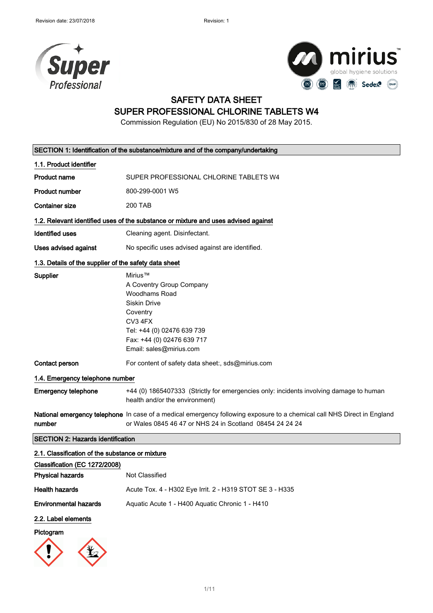



# SAFETY DATA SHEET

### SUPER PROFESSIONAL CHLORINE TABLETS W4

Commission Regulation (EU) No 2015/830 of 28 May 2015.

|                                                       | SECTION 1: Identification of the substance/mixture and of the company/undertaking                                                                                                         |  |
|-------------------------------------------------------|-------------------------------------------------------------------------------------------------------------------------------------------------------------------------------------------|--|
| 1.1. Product identifier                               |                                                                                                                                                                                           |  |
| <b>Product name</b>                                   | SUPER PROFESSIONAL CHLORINE TABLETS W4                                                                                                                                                    |  |
| <b>Product number</b>                                 | 800-299-0001 W5                                                                                                                                                                           |  |
| <b>Container size</b>                                 | <b>200 TAB</b>                                                                                                                                                                            |  |
|                                                       | 1.2. Relevant identified uses of the substance or mixture and uses advised against                                                                                                        |  |
| <b>Identified uses</b>                                | Cleaning agent. Disinfectant.                                                                                                                                                             |  |
| Uses advised against                                  | No specific uses advised against are identified.                                                                                                                                          |  |
| 1.3. Details of the supplier of the safety data sheet |                                                                                                                                                                                           |  |
| <b>Supplier</b>                                       | Mirius™<br>A Coventry Group Company<br><b>Woodhams Road</b><br>Siskin Drive<br>Coventry<br>CV3 4FX<br>Tel: +44 (0) 02476 639 739<br>Fax: +44 (0) 02476 639 717<br>Email: sales@mirius.com |  |
| Contact person                                        | For content of safety data sheet:, sds@mirius.com                                                                                                                                         |  |
| 1.4. Emergency telephone number                       |                                                                                                                                                                                           |  |
| <b>Emergency telephone</b>                            | +44 (0) 1865407333 (Strictly for emergencies only: incidents involving damage to human<br>health and/or the environment)                                                                  |  |
| number                                                | National emergency telephone In case of a medical emergency following exposure to a chemical call NHS Direct in England<br>or Wales 0845 46 47 or NHS 24 in Scotland 08454 24 24 24       |  |
| <b>SECTION 2: Hazards identification</b>              |                                                                                                                                                                                           |  |
| 2.1. Classification of the substance or mixture       |                                                                                                                                                                                           |  |
| Classification (EC 1272/2008)                         |                                                                                                                                                                                           |  |
| <b>Physical hazards</b>                               | Not Classified                                                                                                                                                                            |  |
| <b>Health hazards</b>                                 | Acute Tox. 4 - H302 Eye Irrit. 2 - H319 STOT SE 3 - H335                                                                                                                                  |  |
| <b>Environmental hazards</b>                          | Aquatic Acute 1 - H400 Aquatic Chronic 1 - H410                                                                                                                                           |  |
| 2.2. Label elements                                   |                                                                                                                                                                                           |  |
| Pictogram                                             |                                                                                                                                                                                           |  |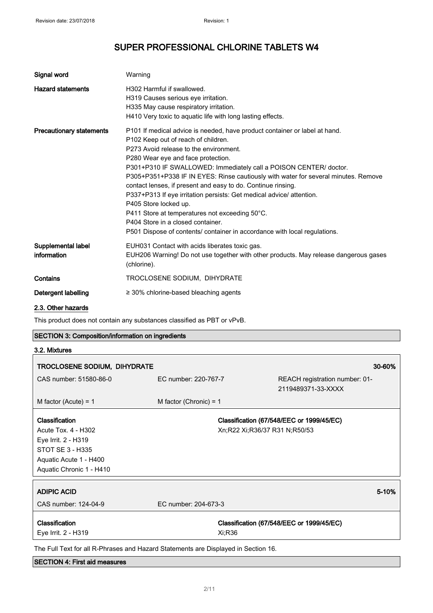| Signal word                       | Warning                                                                                                                                                                                                                                                                                                                                                                                                                                                                                                                                                                                                                                                                                           |
|-----------------------------------|---------------------------------------------------------------------------------------------------------------------------------------------------------------------------------------------------------------------------------------------------------------------------------------------------------------------------------------------------------------------------------------------------------------------------------------------------------------------------------------------------------------------------------------------------------------------------------------------------------------------------------------------------------------------------------------------------|
| <b>Hazard statements</b>          | H302 Harmful if swallowed<br>H319 Causes serious eye irritation.<br>H335 May cause respiratory irritation.<br>H410 Very toxic to aquatic life with long lasting effects.                                                                                                                                                                                                                                                                                                                                                                                                                                                                                                                          |
| <b>Precautionary statements</b>   | P101 If medical advice is needed, have product container or label at hand.<br>P102 Keep out of reach of children.<br>P273 Avoid release to the environment.<br>P280 Wear eye and face protection.<br>P301+P310 IF SWALLOWED: Immediately call a POISON CENTER/ doctor.<br>P305+P351+P338 IF IN EYES: Rinse cautiously with water for several minutes. Remove<br>contact lenses, if present and easy to do. Continue rinsing.<br>P337+P313 If eye irritation persists: Get medical advice/ attention.<br>P405 Store locked up.<br>P411 Store at temperatures not exceeding 50°C.<br>P404 Store in a closed container.<br>P501 Dispose of contents/ container in accordance with local regulations. |
| Supplemental label<br>information | EUH031 Contact with acids liberates toxic gas.<br>EUH206 Warning! Do not use together with other products. May release dangerous gases<br>(chlorine).                                                                                                                                                                                                                                                                                                                                                                                                                                                                                                                                             |
| Contains                          | TROCLOSENE SODIUM, DIHYDRATE                                                                                                                                                                                                                                                                                                                                                                                                                                                                                                                                                                                                                                                                      |
| Detergent labelling               | $\geq$ 30% chlorine-based bleaching agents                                                                                                                                                                                                                                                                                                                                                                                                                                                                                                                                                                                                                                                        |
| $0.0.04$ $\mu$ - $\mu$            |                                                                                                                                                                                                                                                                                                                                                                                                                                                                                                                                                                                                                                                                                                   |

2.3. Other hazards

This product does not contain any substances classified as PBT or vPvB.

### SECTION 3: Composition/information on ingredients

| TROCLOSENE SODIUM, DIHYDRATE |                          | 30-60%                                    |
|------------------------------|--------------------------|-------------------------------------------|
| CAS number: 51580-86-0       | EC number: 220-767-7     | REACH registration number: 01-            |
|                              |                          | 2119489371-33-XXXX                        |
| M factor (Acute) = $1$       | M factor (Chronic) = $1$ |                                           |
| Classification               |                          | Classification (67/548/EEC or 1999/45/EC) |
| Acute Tox. 4 - H302          |                          | Xn;R22 Xi;R36/37 R31 N;R50/53             |
| Eye Irrit. 2 - H319          |                          |                                           |
| STOT SE 3 - H335             |                          |                                           |
| Aquatic Acute 1 - H400       |                          |                                           |
| Aquatic Chronic 1 - H410     |                          |                                           |
| <b>ADIPIC ACID</b>           |                          | 5-10%                                     |
| CAS number: 124-04-9         | EC number: 204-673-3     |                                           |
| Classification               |                          | Classification (67/548/EEC or 1999/45/EC) |
| Eye Irrit. 2 - H319          | Xi:R36                   |                                           |

SECTION 4: First aid measures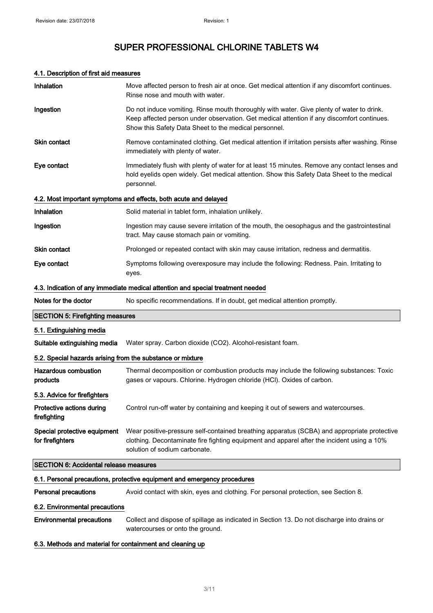### 4.1. Description of first aid measures

| Inhalation                                                 | Move affected person to fresh air at once. Get medical attention if any discomfort continues.<br>Rinse nose and mouth with water.                                                                                                                |
|------------------------------------------------------------|--------------------------------------------------------------------------------------------------------------------------------------------------------------------------------------------------------------------------------------------------|
| Ingestion                                                  | Do not induce vomiting. Rinse mouth thoroughly with water. Give plenty of water to drink.<br>Keep affected person under observation. Get medical attention if any discomfort continues.<br>Show this Safety Data Sheet to the medical personnel. |
| Skin contact                                               | Remove contaminated clothing. Get medical attention if irritation persists after washing. Rinse<br>immediately with plenty of water.                                                                                                             |
| Eye contact                                                | Immediately flush with plenty of water for at least 15 minutes. Remove any contact lenses and<br>hold eyelids open widely. Get medical attention. Show this Safety Data Sheet to the medical<br>personnel.                                       |
|                                                            | 4.2. Most important symptoms and effects, both acute and delayed                                                                                                                                                                                 |
| Inhalation                                                 | Solid material in tablet form, inhalation unlikely.                                                                                                                                                                                              |
| Ingestion                                                  | Ingestion may cause severe irritation of the mouth, the oesophagus and the gastrointestinal<br>tract. May cause stomach pain or vomiting.                                                                                                        |
| <b>Skin contact</b>                                        | Prolonged or repeated contact with skin may cause irritation, redness and dermatitis.                                                                                                                                                            |
| Eye contact                                                | Symptoms following overexposure may include the following: Redness. Pain. Irritating to<br>eyes.                                                                                                                                                 |
|                                                            | 4.3. Indication of any immediate medical attention and special treatment needed                                                                                                                                                                  |
| Notes for the doctor                                       | No specific recommendations. If in doubt, get medical attention promptly.                                                                                                                                                                        |
| <b>SECTION 5: Firefighting measures</b>                    |                                                                                                                                                                                                                                                  |
| 5.1. Extinguishing media                                   |                                                                                                                                                                                                                                                  |
| Suitable extinguishing media                               | Water spray. Carbon dioxide (CO2). Alcohol-resistant foam.                                                                                                                                                                                       |
| 5.2. Special hazards arising from the substance or mixture |                                                                                                                                                                                                                                                  |
| <b>Hazardous combustion</b><br>products                    | Thermal decomposition or combustion products may include the following substances: Toxic<br>gases or vapours. Chlorine. Hydrogen chloride (HCl). Oxides of carbon.                                                                               |
| 5.3. Advice for firefighters                               |                                                                                                                                                                                                                                                  |
| Protective actions during<br>firefighting                  |                                                                                                                                                                                                                                                  |
|                                                            | Control run-off water by containing and keeping it out of sewers and watercourses.                                                                                                                                                               |
| Special protective equipment<br>for firefighters           | Wear positive-pressure self-contained breathing apparatus (SCBA) and appropriate protective<br>clothing. Decontaminate fire fighting equipment and apparel after the incident using a 10%<br>solution of sodium carbonate.                       |
| <b>SECTION 6: Accidental release measures</b>              |                                                                                                                                                                                                                                                  |
|                                                            | 6.1. Personal precautions, protective equipment and emergency procedures                                                                                                                                                                         |
| <b>Personal precautions</b>                                | Avoid contact with skin, eyes and clothing. For personal protection, see Section 8.                                                                                                                                                              |
| 6.2. Environmental precautions                             |                                                                                                                                                                                                                                                  |

6.3. Methods and material for containment and cleaning up

watercourses or onto the ground.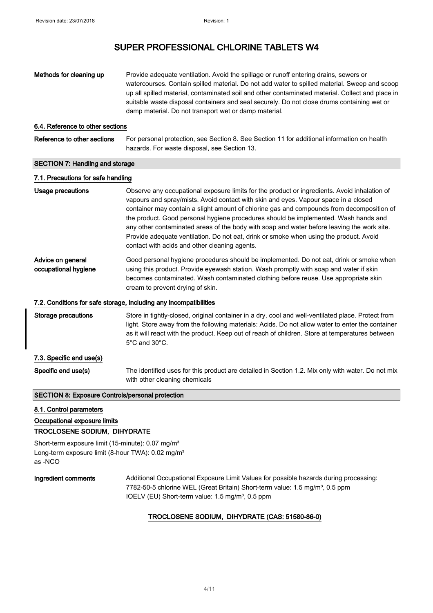| Methods for cleaning up                                 | Provide adequate ventilation. Avoid the spillage or runoff entering drains, sewers or<br>watercourses. Contain spilled material. Do not add water to spilled material. Sweep and scoop<br>up all spilled material, contaminated soil and other contaminated material. Collect and place in<br>suitable waste disposal containers and seal securely. Do not close drums containing wet or<br>damp material. Do not transport wet or damp material.                                                                                                                                                                |
|---------------------------------------------------------|------------------------------------------------------------------------------------------------------------------------------------------------------------------------------------------------------------------------------------------------------------------------------------------------------------------------------------------------------------------------------------------------------------------------------------------------------------------------------------------------------------------------------------------------------------------------------------------------------------------|
| 6.4. Reference to other sections                        |                                                                                                                                                                                                                                                                                                                                                                                                                                                                                                                                                                                                                  |
| Reference to other sections                             | For personal protection, see Section 8. See Section 11 for additional information on health<br>hazards. For waste disposal, see Section 13.                                                                                                                                                                                                                                                                                                                                                                                                                                                                      |
| <b>SECTION 7: Handling and storage</b>                  |                                                                                                                                                                                                                                                                                                                                                                                                                                                                                                                                                                                                                  |
| 7.1. Precautions for safe handling                      |                                                                                                                                                                                                                                                                                                                                                                                                                                                                                                                                                                                                                  |
| Usage precautions                                       | Observe any occupational exposure limits for the product or ingredients. Avoid inhalation of<br>vapours and spray/mists. Avoid contact with skin and eyes. Vapour space in a closed<br>container may contain a slight amount of chlorine gas and compounds from decomposition of<br>the product. Good personal hygiene procedures should be implemented. Wash hands and<br>any other contaminated areas of the body with soap and water before leaving the work site.<br>Provide adequate ventilation. Do not eat, drink or smoke when using the product. Avoid<br>contact with acids and other cleaning agents. |
| Advice on general<br>occupational hygiene               | Good personal hygiene procedures should be implemented. Do not eat, drink or smoke when<br>using this product. Provide eyewash station. Wash promptly with soap and water if skin<br>becomes contaminated. Wash contaminated clothing before reuse. Use appropriate skin<br>cream to prevent drying of skin.                                                                                                                                                                                                                                                                                                     |
|                                                         | 7.2. Conditions for safe storage, including any incompatibilities                                                                                                                                                                                                                                                                                                                                                                                                                                                                                                                                                |
| Storage precautions                                     | Store in tightly-closed, original container in a dry, cool and well-ventilated place. Protect from<br>light. Store away from the following materials: Acids. Do not allow water to enter the container<br>as it will react with the product. Keep out of reach of children. Store at temperatures between<br>$5^{\circ}$ C and $30^{\circ}$ C.                                                                                                                                                                                                                                                                   |
| 7.3. Specific end use(s)                                |                                                                                                                                                                                                                                                                                                                                                                                                                                                                                                                                                                                                                  |
| Specific end use(s)                                     | The identified uses for this product are detailed in Section 1.2. Mix only with water. Do not mix<br>with other cleaning chemicals                                                                                                                                                                                                                                                                                                                                                                                                                                                                               |
| <b>SECTION 8: Exposure Controls/personal protection</b> |                                                                                                                                                                                                                                                                                                                                                                                                                                                                                                                                                                                                                  |

8.1. Control parameters

## Occupational exposure limits

### TROCLOSENE SODIUM, DIHYDRATE

Short-term exposure limit (15-minute): 0.07 mg/m<sup>3</sup> Long-term exposure limit (8-hour TWA): 0.02 mg/m<sup>3</sup> as -NCO

Ingredient comments Additional Occupational Exposure Limit Values for possible hazards during processing: 7782-50-5 chlorine WEL (Great Britain) Short-term value: 1.5 mg/m<sup>3</sup>, 0.5 ppm IOELV (EU) Short-term value: 1.5 mg/m<sup>3</sup>, 0.5 ppm

#### TROCLOSENE SODIUM, DIHYDRATE (CAS: 51580-86-0)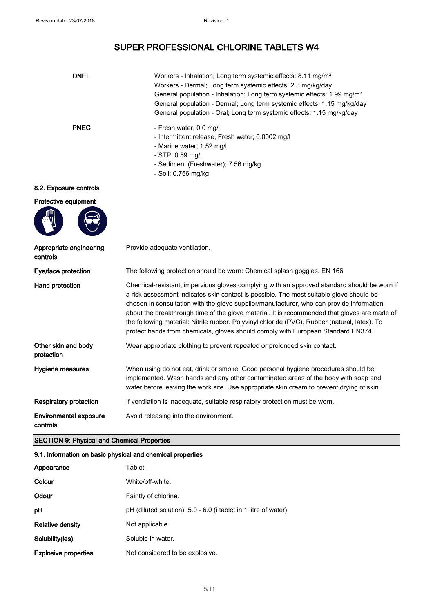| <b>DNEL</b>                               | Workers - Inhalation; Long term systemic effects: 8.11 mg/m <sup>3</sup><br>Workers - Dermal; Long term systemic effects: 2.3 mg/kg/day<br>General population - Inhalation; Long term systemic effects: 1.99 mg/m <sup>3</sup><br>General population - Dermal; Long term systemic effects: 1.15 mg/kg/day<br>General population - Oral; Long term systemic effects: 1.15 mg/kg/day                                                                                                                                                                                      |  |
|-------------------------------------------|-------------------------------------------------------------------------------------------------------------------------------------------------------------------------------------------------------------------------------------------------------------------------------------------------------------------------------------------------------------------------------------------------------------------------------------------------------------------------------------------------------------------------------------------------------------------------|--|
| <b>PNEC</b>                               | - Fresh water; 0.0 mg/l<br>- Intermittent release, Fresh water; 0.0002 mg/l<br>- Marine water; 1.52 mg/l<br>- STP; 0.59 mg/l<br>- Sediment (Freshwater); 7.56 mg/kg<br>- Soil; 0.756 mg/kg                                                                                                                                                                                                                                                                                                                                                                              |  |
| 8.2. Exposure controls                    |                                                                                                                                                                                                                                                                                                                                                                                                                                                                                                                                                                         |  |
| Protective equipment                      |                                                                                                                                                                                                                                                                                                                                                                                                                                                                                                                                                                         |  |
| Appropriate engineering<br>controls       | Provide adequate ventilation.                                                                                                                                                                                                                                                                                                                                                                                                                                                                                                                                           |  |
| Eye/face protection                       | The following protection should be worn: Chemical splash goggles. EN 166                                                                                                                                                                                                                                                                                                                                                                                                                                                                                                |  |
| <b>Hand protection</b>                    | Chemical-resistant, impervious gloves complying with an approved standard should be worn if<br>a risk assessment indicates skin contact is possible. The most suitable glove should be<br>chosen in consultation with the glove supplier/manufacturer, who can provide information<br>about the breakthrough time of the glove material. It is recommended that gloves are made of<br>the following material: Nitrile rubber. Polyvinyl chloride (PVC). Rubber (natural, latex). To<br>protect hands from chemicals, gloves should comply with European Standard EN374. |  |
| Other skin and body<br>protection         | Wear appropriate clothing to prevent repeated or prolonged skin contact.                                                                                                                                                                                                                                                                                                                                                                                                                                                                                                |  |
| Hygiene measures                          | When using do not eat, drink or smoke. Good personal hygiene procedures should be<br>implemented. Wash hands and any other contaminated areas of the body with soap and<br>water before leaving the work site. Use appropriate skin cream to prevent drying of skin.                                                                                                                                                                                                                                                                                                    |  |
| <b>Respiratory protection</b>             | If ventilation is inadequate, suitable respiratory protection must be worn.                                                                                                                                                                                                                                                                                                                                                                                                                                                                                             |  |
| <b>Environmental exposure</b><br>controls | Avoid releasing into the environment.                                                                                                                                                                                                                                                                                                                                                                                                                                                                                                                                   |  |

### SECTION 9: Physical and Chemical Properties

### 9.1. Information on basic physical and chemical properties

| Appearance                  | Tablet                                                          |
|-----------------------------|-----------------------------------------------------------------|
| Colour                      | White/off-white.                                                |
| Odour                       | Faintly of chlorine.                                            |
| рH                          | pH (diluted solution): 5.0 - 6.0 (i tablet in 1 litre of water) |
| <b>Relative density</b>     | Not applicable.                                                 |
| Solubility(ies)             | Soluble in water.                                               |
| <b>Explosive properties</b> | Not considered to be explosive.                                 |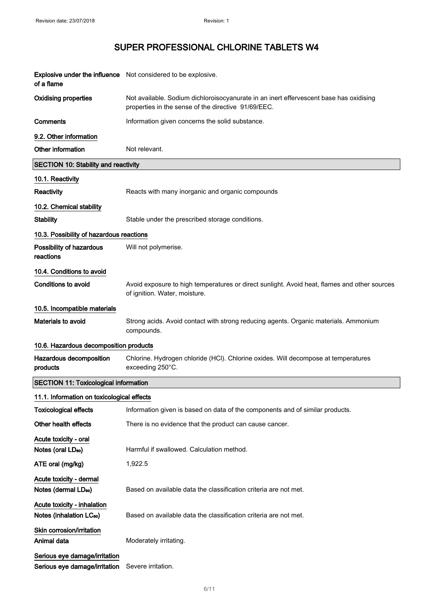| of a flame                                                     | <b>Explosive under the influence</b> Not considered to be explosive.                                                                          |  |
|----------------------------------------------------------------|-----------------------------------------------------------------------------------------------------------------------------------------------|--|
| <b>Oxidising properties</b>                                    | Not available. Sodium dichloroisocyanurate in an inert effervescent base has oxidising<br>properties in the sense of the directive 91/69/EEC. |  |
| Comments                                                       | Information given concerns the solid substance.                                                                                               |  |
| 9.2. Other information                                         |                                                                                                                                               |  |
| Other information                                              | Not relevant.                                                                                                                                 |  |
| <b>SECTION 10: Stability and reactivity</b>                    |                                                                                                                                               |  |
| 10.1. Reactivity                                               |                                                                                                                                               |  |
| Reactivity                                                     | Reacts with many inorganic and organic compounds                                                                                              |  |
| 10.2. Chemical stability                                       |                                                                                                                                               |  |
| <b>Stability</b>                                               | Stable under the prescribed storage conditions.                                                                                               |  |
| 10.3. Possibility of hazardous reactions                       |                                                                                                                                               |  |
| Possibility of hazardous<br>reactions                          | Will not polymerise.                                                                                                                          |  |
| 10.4. Conditions to avoid                                      |                                                                                                                                               |  |
| <b>Conditions to avoid</b>                                     | Avoid exposure to high temperatures or direct sunlight. Avoid heat, flames and other sources<br>of ignition. Water, moisture.                 |  |
| 10.5. Incompatible materials                                   |                                                                                                                                               |  |
| Materials to avoid                                             | Strong acids. Avoid contact with strong reducing agents. Organic materials. Ammonium<br>compounds.                                            |  |
| 10.6. Hazardous decomposition products                         |                                                                                                                                               |  |
| Hazardous decomposition<br>products                            | Chlorine. Hydrogen chloride (HCl). Chlorine oxides. Will decompose at temperatures<br>exceeding 250°C.                                        |  |
| <b>SECTION 11: Toxicological information</b>                   |                                                                                                                                               |  |
| 11.1. Information on toxicological effects                     |                                                                                                                                               |  |
| <b>Toxicological effects</b>                                   | Information given is based on data of the components and of similar products.                                                                 |  |
| Other health effects                                           | There is no evidence that the product can cause cancer.                                                                                       |  |
| Acute toxicity - oral<br>Notes (oral LD <sub>50</sub> )        | Harmful if swallowed. Calculation method.                                                                                                     |  |
| ATE oral (mg/kg)                                               | 1,922.5                                                                                                                                       |  |
| Acute toxicity - dermal                                        |                                                                                                                                               |  |
| Notes (dermal LD <sub>50</sub> )                               | Based on available data the classification criteria are not met.                                                                              |  |
| Acute toxicity - inhalation                                    |                                                                                                                                               |  |
| Notes (inhalation LC <sub>50</sub> )                           | Based on available data the classification criteria are not met.                                                                              |  |
| Skin corrosion/irritation<br>Animal data                       | Moderately irritating.                                                                                                                        |  |
| Serious eye damage/irritation<br>Serious eye damage/irritation | Severe irritation.                                                                                                                            |  |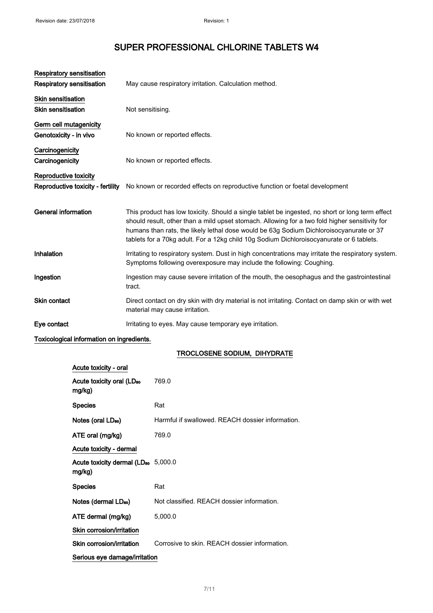| <b>Respiratory sensitisation</b><br><b>Respiratory sensitisation</b> | May cause respiratory irritation. Calculation method.                                                                                                                                                                                                                                                                                                                                    |
|----------------------------------------------------------------------|------------------------------------------------------------------------------------------------------------------------------------------------------------------------------------------------------------------------------------------------------------------------------------------------------------------------------------------------------------------------------------------|
| <b>Skin sensitisation</b><br><b>Skin sensitisation</b>               | Not sensitising.                                                                                                                                                                                                                                                                                                                                                                         |
| Germ cell mutagenicity<br>Genotoxicity - in vivo                     | No known or reported effects.                                                                                                                                                                                                                                                                                                                                                            |
| Carcinogenicity<br>Carcinogenicity                                   | No known or reported effects.                                                                                                                                                                                                                                                                                                                                                            |
| Reproductive toxicity<br>Reproductive toxicity - fertility           | No known or recorded effects on reproductive function or foetal development                                                                                                                                                                                                                                                                                                              |
| <b>General information</b>                                           | This product has low toxicity. Should a single tablet be ingested, no short or long term effect<br>should result, other than a mild upset stomach. Allowing for a two fold higher sensitivity for<br>humans than rats, the likely lethal dose would be 63g Sodium Dichloroisocyanurate or 37<br>tablets for a 70kg adult. For a 12kg child 10g Sodium Dichloroisocyanurate or 6 tablets. |
| Inhalation                                                           | Irritating to respiratory system. Dust in high concentrations may irritate the respiratory system.<br>Symptoms following overexposure may include the following: Coughing.                                                                                                                                                                                                               |
| Ingestion                                                            | Ingestion may cause severe irritation of the mouth, the oesophagus and the gastrointestinal<br>tract.                                                                                                                                                                                                                                                                                    |
| <b>Skin contact</b>                                                  | Direct contact on dry skin with dry material is not irritating. Contact on damp skin or with wet<br>material may cause irritation.                                                                                                                                                                                                                                                       |
| Eye contact                                                          | Irritating to eyes. May cause temporary eye irritation.                                                                                                                                                                                                                                                                                                                                  |

### Toxicological information on ingredients.

#### TROCLOSENE SODIUM, DIHYDRATE

| Acute toxicity - oral                                     |                                                  |
|-----------------------------------------------------------|--------------------------------------------------|
| Acute toxicity oral (LD <sub>50</sub><br>mg/kg)           | 769.0                                            |
| <b>Species</b>                                            | Rat                                              |
| Notes (oral LD <sub>50</sub> )                            | Harmful if swallowed. REACH dossier information. |
| ATE oral (mg/kg)                                          | 769.0                                            |
| Acute toxicity - dermal                                   |                                                  |
| Acute toxicity dermal (LD <sub>50</sub> 5,000.0<br>mg/kg) |                                                  |
| <b>Species</b>                                            | Rat                                              |
| Notes (dermal LD <sub>50</sub> )                          | Not classified. REACH dossier information.       |
| ATE dermal (mg/kg)                                        | 5,000.0                                          |
| Skin corrosion/irritation                                 |                                                  |
| Skin corrosion/irritation                                 | Corrosive to skin. REACH dossier information.    |
| Serious eye damage/irritation                             |                                                  |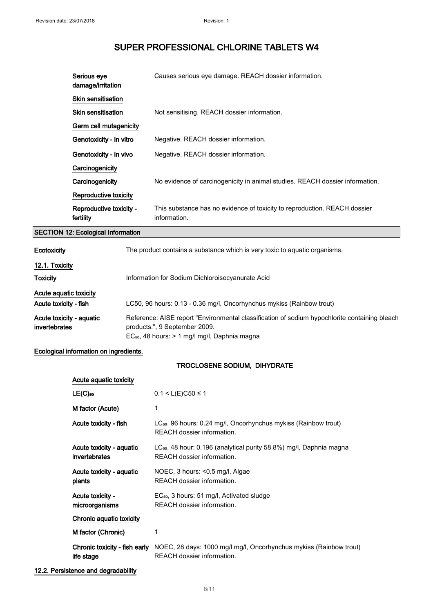| Serious eye<br>damage/irritation     | Causes serious eye damage. REACH dossier information.                                     |
|--------------------------------------|-------------------------------------------------------------------------------------------|
| Skin sensitisation                   |                                                                                           |
| <b>Skin sensitisation</b>            | Not sensitising. REACH dossier information.                                               |
| Germ cell mutagenicity               |                                                                                           |
| Genotoxicity - in vitro              | Negative. REACH dossier information.                                                      |
| Genotoxicity - in vivo               | Negative. REACH dossier information.                                                      |
| Carcinogenicity                      |                                                                                           |
| Carcinogenicity                      | No evidence of carcinogenicity in animal studies. REACH dossier information.              |
| Reproductive toxicity                |                                                                                           |
| Reproductive toxicity -<br>fertility | This substance has no evidence of toxicity to reproduction. REACH dossier<br>information. |

### SECTION 12: Ecological Information

| <b>Ecotoxicity</b>       | The product contains a substance which is very toxic to aguatic organisms.                    |
|--------------------------|-----------------------------------------------------------------------------------------------|
| 12.1. Toxicity           |                                                                                               |
| <b>Toxicity</b>          | Information for Sodium Dichloroisocyanurate Acid                                              |
| Acute aguatic toxicity   |                                                                                               |
| Acute toxicity - fish    | LC50, 96 hours: 0.13 - 0.36 mg/l, Oncorhynchus mykiss (Rainbow trout)                         |
| Acute toxicity - aquatic | Reference: AISE report "Environmental classification of sodium hypochlorite containing bleach |
| <i>invertebrates</i>     | products.", 9 September 2009.                                                                 |
|                          | $EC_{50}$ , 48 hours: $> 1$ mg/l mg/l, Daphnia magna                                          |

### Ecological information on ingredients.

### TROCLOSENE SODIUM, DIHYDRATE

| Acute aquatic toxicity                      |                                                                                                               |
|---------------------------------------------|---------------------------------------------------------------------------------------------------------------|
| $LE(C)$ <sub>50</sub>                       | $0.1 < L(E)C50 \le 1$                                                                                         |
| M factor (Acute)                            | 1                                                                                                             |
| Acute toxicity - fish                       | LC <sub>50</sub> , 96 hours: 0.24 mg/l, Oncorhynchus mykiss (Rainbow trout)<br>REACH dossier information.     |
| Acute toxicity - aquatic<br>invertebrates   | LC <sub>50</sub> , 48 hour: 0.196 (analytical purity 58.8%) mg/l, Daphnia magna<br>REACH dossier information. |
| Acute toxicity - aquatic<br>plants          | NOEC, 3 hours: <0.5 mg/l, Algae<br>REACH dossier information.                                                 |
| Acute toxicity -<br>microorganisms          | EC <sub>50</sub> , 3 hours: 51 mg/l, Activated sludge<br>REACH dossier information.                           |
| Chronic aquatic toxicity                    |                                                                                                               |
| M factor (Chronic)                          | 1                                                                                                             |
| Chronic toxicity - fish early<br>life stage | NOEC, 28 days: 1000 mg/l mg/l, Oncorhynchus mykiss (Rainbow trout)<br>REACH dossier information.              |

#### 12.2. Persistence and degradability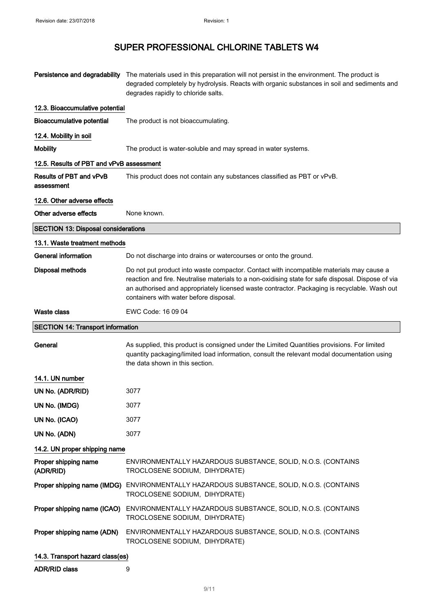|                                            | Persistence and degradability The materials used in this preparation will not persist in the environment. The product is<br>degraded completely by hydrolysis. Reacts with organic substances in soil and sediments and<br>degrades rapidly to chloride salts.                                                                           |
|--------------------------------------------|------------------------------------------------------------------------------------------------------------------------------------------------------------------------------------------------------------------------------------------------------------------------------------------------------------------------------------------|
| 12.3. Bioaccumulative potential            |                                                                                                                                                                                                                                                                                                                                          |
| <b>Bioaccumulative potential</b>           | The product is not bioaccumulating.                                                                                                                                                                                                                                                                                                      |
| 12.4. Mobility in soil                     |                                                                                                                                                                                                                                                                                                                                          |
| <b>Mobility</b>                            | The product is water-soluble and may spread in water systems.                                                                                                                                                                                                                                                                            |
| 12.5. Results of PBT and vPvB assessment   |                                                                                                                                                                                                                                                                                                                                          |
| Results of PBT and vPvB<br>assessment      | This product does not contain any substances classified as PBT or vPvB.                                                                                                                                                                                                                                                                  |
| 12.6. Other adverse effects                |                                                                                                                                                                                                                                                                                                                                          |
| Other adverse effects                      | None known.                                                                                                                                                                                                                                                                                                                              |
| <b>SECTION 13: Disposal considerations</b> |                                                                                                                                                                                                                                                                                                                                          |
| 13.1. Waste treatment methods              |                                                                                                                                                                                                                                                                                                                                          |
| <b>General information</b>                 | Do not discharge into drains or watercourses or onto the ground.                                                                                                                                                                                                                                                                         |
| <b>Disposal methods</b>                    | Do not put product into waste compactor. Contact with incompatible materials may cause a<br>reaction and fire. Neutralise materials to a non-oxidising state for safe disposal. Dispose of via<br>an authorised and appropriately licensed waste contractor. Packaging is recyclable. Wash out<br>containers with water before disposal. |
| <b>Waste class</b>                         | EWC Code: 16 09 04                                                                                                                                                                                                                                                                                                                       |
|                                            |                                                                                                                                                                                                                                                                                                                                          |
| <b>SECTION 14: Transport information</b>   |                                                                                                                                                                                                                                                                                                                                          |
| General                                    | As supplied, this product is consigned under the Limited Quantities provisions. For limited<br>quantity packaging/limited load information, consult the relevant modal documentation using<br>the data shown in this section.                                                                                                            |
| 14.1. UN number                            |                                                                                                                                                                                                                                                                                                                                          |
| UN No. (ADR/RID)                           | 3077                                                                                                                                                                                                                                                                                                                                     |
| UN No. (IMDG)                              | 3077                                                                                                                                                                                                                                                                                                                                     |
| UN No. (ICAO)                              | 3077                                                                                                                                                                                                                                                                                                                                     |
| UN No. (ADN)                               | 3077                                                                                                                                                                                                                                                                                                                                     |
| 14.2. UN proper shipping name              |                                                                                                                                                                                                                                                                                                                                          |
| Proper shipping name<br>(ADR/RID)          | ENVIRONMENTALLY HAZARDOUS SUBSTANCE, SOLID, N.O.S. (CONTAINS<br>TROCLOSENE SODIUM, DIHYDRATE)                                                                                                                                                                                                                                            |
| Proper shipping name (IMDG)                | ENVIRONMENTALLY HAZARDOUS SUBSTANCE, SOLID, N.O.S. (CONTAINS<br>TROCLOSENE SODIUM, DIHYDRATE)                                                                                                                                                                                                                                            |
| Proper shipping name (ICAO)                | ENVIRONMENTALLY HAZARDOUS SUBSTANCE, SOLID, N.O.S. (CONTAINS<br>TROCLOSENE SODIUM, DIHYDRATE)                                                                                                                                                                                                                                            |
| Proper shipping name (ADN)                 | ENVIRONMENTALLY HAZARDOUS SUBSTANCE, SOLID, N.O.S. (CONTAINS<br>TROCLOSENE SODIUM, DIHYDRATE)                                                                                                                                                                                                                                            |

ADR/RID class 9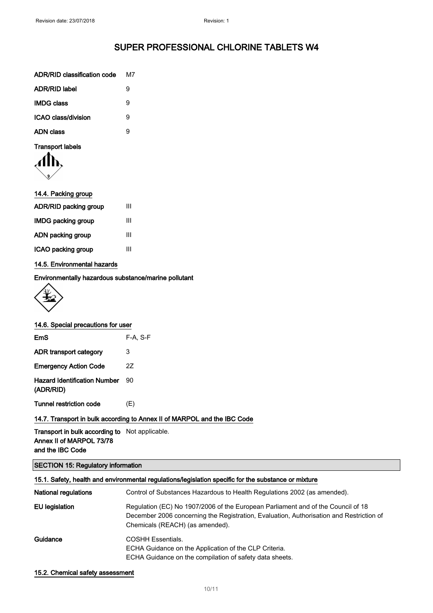| ADR/RID classification code | м7 |
|-----------------------------|----|
| <b>ADR/RID label</b>        | я  |
| <b>IMDG class</b>           | 9  |
| ICAO class/division         | 9  |
| <b>ADN class</b>            | я  |
|                             |    |



| 14.4. Packing group       |   |
|---------------------------|---|
| ADR/RID packing group     | Ш |
| <b>IMDG packing group</b> | Ш |
| ADN packing group         | Ш |
| ICAO packing group        | Ш |
|                           |   |

#### 14.5. Environmental hazards

Environmentally hazardous substance/marine pollutant



|  | 14.6. Special precautions for user |  |
|--|------------------------------------|--|
|  |                                    |  |

| EmS                                       | $F-A. S-F$ |
|-------------------------------------------|------------|
| ADR transport category                    | 3          |
| <b>Emergency Action Code</b>              | 27         |
| Hazard Identification Number<br>(ADR/RID) | an         |
| Tunnel restriction code                   | (F)        |

### 14.7. Transport in bulk according to Annex II of MARPOL and the IBC Code

Transport in bulk according to Not applicable. Annex II of MARPOL 73/78 and the IBC Code

### SECTION 15: Regulatory information

| 15.1. Safety, health and environmental regulations/legislation specific for the substance or mixture |                                                                                                                                                                                                                |  |
|------------------------------------------------------------------------------------------------------|----------------------------------------------------------------------------------------------------------------------------------------------------------------------------------------------------------------|--|
| <b>National regulations</b>                                                                          | Control of Substances Hazardous to Health Regulations 2002 (as amended).                                                                                                                                       |  |
| EU legislation                                                                                       | Regulation (EC) No 1907/2006 of the European Parliament and of the Council of 18<br>December 2006 concerning the Registration, Evaluation, Authorisation and Restriction of<br>Chemicals (REACH) (as amended). |  |
| Guidance                                                                                             | <b>COSHH Essentials.</b><br>ECHA Guidance on the Application of the CLP Criteria.<br>ECHA Guidance on the compilation of safety data sheets.                                                                   |  |

15.2. Chemical safety assessment